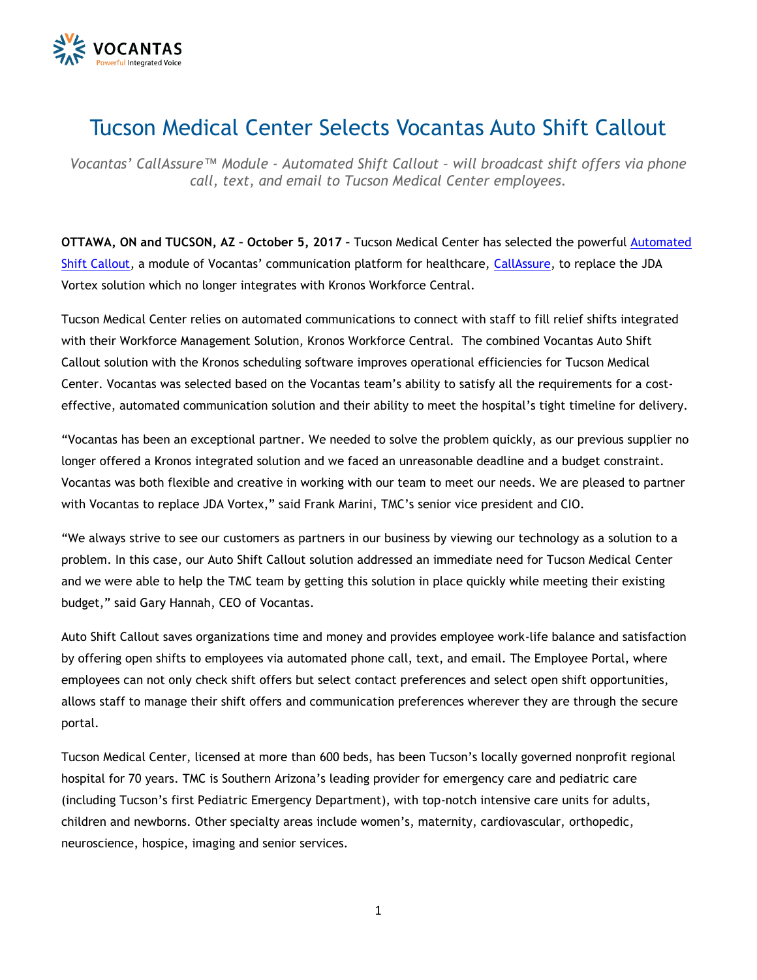

## Tucson Medical Center Selects Vocantas Auto Shift Callout

*Vocantas' CallAssure™ Module - Automated Shift Callout – will broadcast shift offers via phone call, text, and email to Tucson Medical Center employees.* 

**OTTAWA, ON and TUCSON, AZ – October 5, 2017 –** Tucson Medical Center has selected the powerful [Automated](http://vocantas.com/products/auto-shift-callout)  [Shift Callout](http://vocantas.com/products/auto-shift-callout), a module of Vocantas' communication platform for healthcare, [CallAssure,](http://vocantas.com/callassure) to replace the JDA Vortex solution which no longer integrates with Kronos Workforce Central.

Tucson Medical Center relies on automated communications to connect with staff to fill relief shifts integrated with their Workforce Management Solution, Kronos Workforce Central. The combined Vocantas Auto Shift Callout solution with the Kronos scheduling software improves operational efficiencies for Tucson Medical Center. Vocantas was selected based on the Vocantas team's ability to satisfy all the requirements for a costeffective, automated communication solution and their ability to meet the hospital's tight timeline for delivery.

"Vocantas has been an exceptional partner. We needed to solve the problem quickly, as our previous supplier no longer offered a Kronos integrated solution and we faced an unreasonable deadline and a budget constraint. Vocantas was both flexible and creative in working with our team to meet our needs. We are pleased to partner with Vocantas to replace JDA Vortex," said Frank Marini, TMC's senior vice president and CIO.

"We always strive to see our customers as partners in our business by viewing our technology as a solution to a problem. In this case, our Auto Shift Callout solution addressed an immediate need for Tucson Medical Center and we were able to help the TMC team by getting this solution in place quickly while meeting their existing budget," said Gary Hannah, CEO of Vocantas.

Auto Shift Callout saves organizations time and money and provides employee work-life balance and satisfaction by offering open shifts to employees via automated phone call, text, and email. The Employee Portal, where employees can not only check shift offers but select contact preferences and select open shift opportunities, allows staff to manage their shift offers and communication preferences wherever they are through the secure portal.

Tucson Medical Center, licensed at more than 600 beds, has been Tucson's locally governed nonprofit regional hospital for 70 years. TMC is Southern Arizona's leading provider for emergency care and pediatric care (including Tucson's first Pediatric Emergency Department), with top-notch intensive care units for adults, children and newborns. Other specialty areas include women's, maternity, cardiovascular, orthopedic, neuroscience, hospice, imaging and senior services.